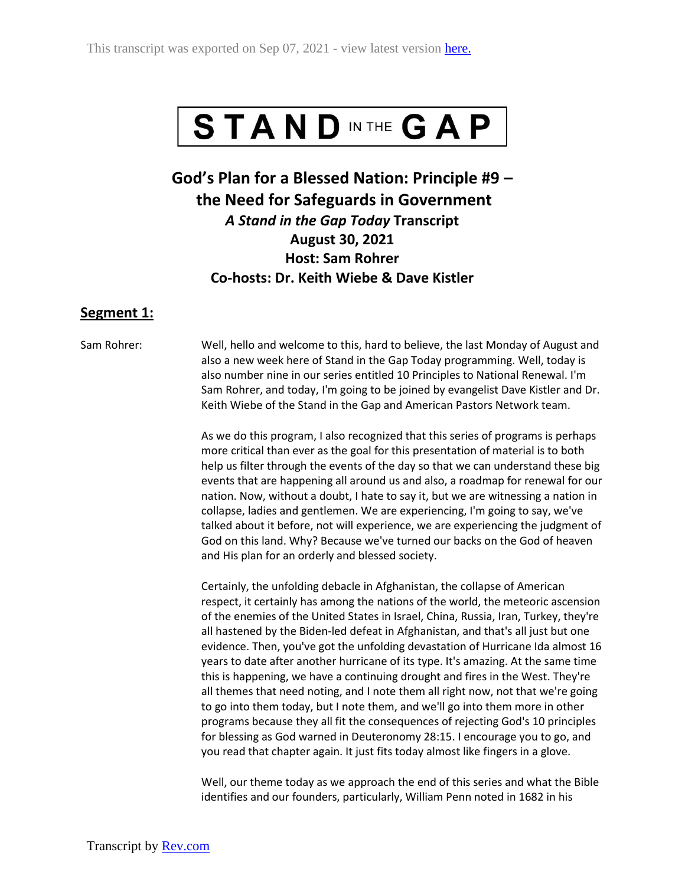

**God's Plan for a Blessed Nation: Principle #9 – the Need for Safeguards in Government** *A Stand in the Gap Today* **Transcript August 30, 2021 Host: Sam Rohrer Co-hosts: Dr. Keith Wiebe & Dave Kistler**

## **Segment 1:**

Sam Rohrer: Well, hello and welcome to this, hard to believe, the last Monday of August and also a new week here of Stand in the Gap Today programming. Well, today is also number nine in our series entitled 10 Principles to National Renewal. I'm Sam Rohrer, and today, I'm going to be joined by evangelist Dave Kistler and Dr. Keith Wiebe of the Stand in the Gap and American Pastors Network team.

> As we do this program, I also recognized that this series of programs is perhaps more critical than ever as the goal for this presentation of material is to both help us filter through the events of the day so that we can understand these big events that are happening all around us and also, a roadmap for renewal for our nation. Now, without a doubt, I hate to say it, but we are witnessing a nation in collapse, ladies and gentlemen. We are experiencing, I'm going to say, we've talked about it before, not will experience, we are experiencing the judgment of God on this land. Why? Because we've turned our backs on the God of heaven and His plan for an orderly and blessed society.

> Certainly, the unfolding debacle in Afghanistan, the collapse of American respect, it certainly has among the nations of the world, the meteoric ascension of the enemies of the United States in Israel, China, Russia, Iran, Turkey, they're all hastened by the Biden-led defeat in Afghanistan, and that's all just but one evidence. Then, you've got the unfolding devastation of Hurricane Ida almost 16 years to date after another hurricane of its type. It's amazing. At the same time this is happening, we have a continuing drought and fires in the West. They're all themes that need noting, and I note them all right now, not that we're going to go into them today, but I note them, and we'll go into them more in other programs because they all fit the consequences of rejecting God's 10 principles for blessing as God warned in Deuteronomy 28:15. I encourage you to go, and you read that chapter again. It just fits today almost like fingers in a glove.

> Well, our theme today as we approach the end of this series and what the Bible identifies and our founders, particularly, William Penn noted in 1682 in his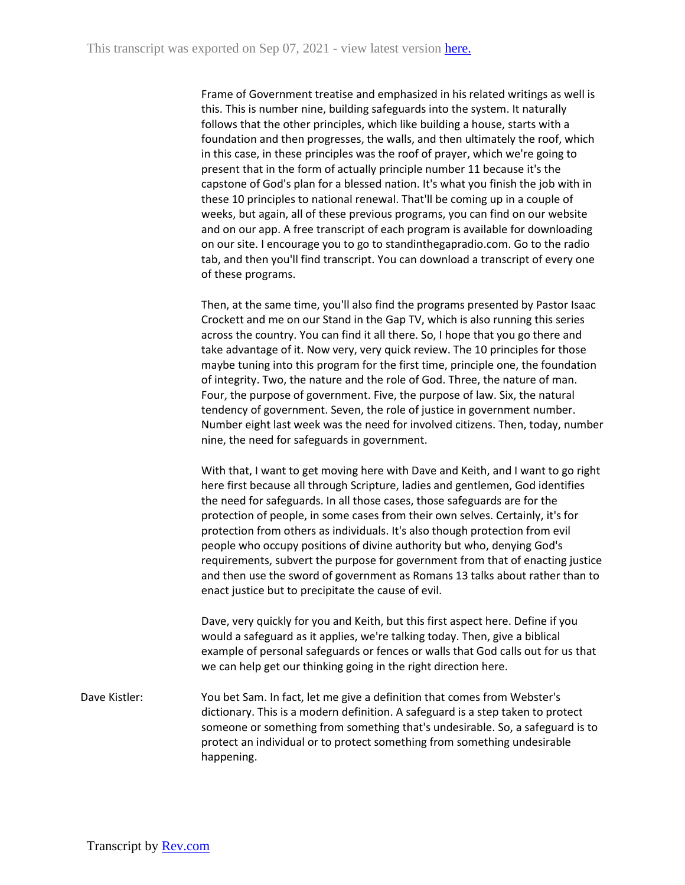Frame of Government treatise and emphasized in his related writings as well is this. This is number nine, building safeguards into the system. It naturally follows that the other principles, which like building a house, starts with a foundation and then progresses, the walls, and then ultimately the roof, which in this case, in these principles was the roof of prayer, which we're going to present that in the form of actually principle number 11 because it's the capstone of God's plan for a blessed nation. It's what you finish the job with in these 10 principles to national renewal. That'll be coming up in a couple of weeks, but again, all of these previous programs, you can find on our website and on our app. A free transcript of each program is available for downloading on our site. I encourage you to go to standinthegapradio.com. Go to the radio tab, and then you'll find transcript. You can download a transcript of every one of these programs.

Then, at the same time, you'll also find the programs presented by Pastor Isaac Crockett and me on our Stand in the Gap TV, which is also running this series across the country. You can find it all there. So, I hope that you go there and take advantage of it. Now very, very quick review. The 10 principles for those maybe tuning into this program for the first time, principle one, the foundation of integrity. Two, the nature and the role of God. Three, the nature of man. Four, the purpose of government. Five, the purpose of law. Six, the natural tendency of government. Seven, the role of justice in government number. Number eight last week was the need for involved citizens. Then, today, number nine, the need for safeguards in government.

With that, I want to get moving here with Dave and Keith, and I want to go right here first because all through Scripture, ladies and gentlemen, God identifies the need for safeguards. In all those cases, those safeguards are for the protection of people, in some cases from their own selves. Certainly, it's for protection from others as individuals. It's also though protection from evil people who occupy positions of divine authority but who, denying God's requirements, subvert the purpose for government from that of enacting justice and then use the sword of government as Romans 13 talks about rather than to enact justice but to precipitate the cause of evil.

Dave, very quickly for you and Keith, but this first aspect here. Define if you would a safeguard as it applies, we're talking today. Then, give a biblical example of personal safeguards or fences or walls that God calls out for us that we can help get our thinking going in the right direction here.

Dave Kistler: You bet Sam. In fact, let me give a definition that comes from Webster's dictionary. This is a modern definition. A safeguard is a step taken to protect someone or something from something that's undesirable. So, a safeguard is to protect an individual or to protect something from something undesirable happening.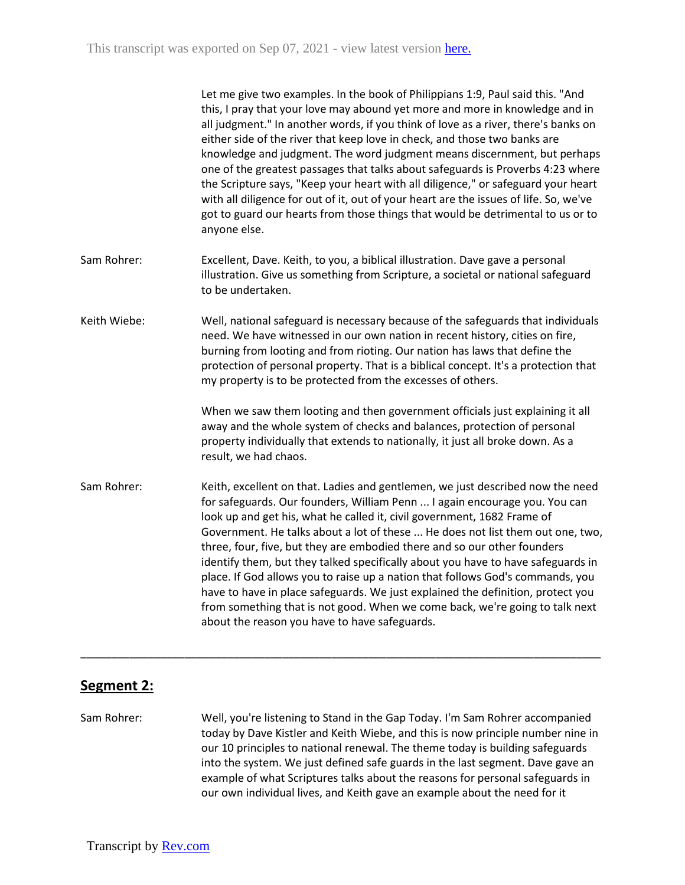|              | Let me give two examples. In the book of Philippians 1:9, Paul said this. "And<br>this, I pray that your love may abound yet more and more in knowledge and in<br>all judgment." In another words, if you think of love as a river, there's banks on<br>either side of the river that keep love in check, and those two banks are<br>knowledge and judgment. The word judgment means discernment, but perhaps<br>one of the greatest passages that talks about safeguards is Proverbs 4:23 where<br>the Scripture says, "Keep your heart with all diligence," or safeguard your heart<br>with all diligence for out of it, out of your heart are the issues of life. So, we've<br>got to guard our hearts from those things that would be detrimental to us or to<br>anyone else.               |
|--------------|-------------------------------------------------------------------------------------------------------------------------------------------------------------------------------------------------------------------------------------------------------------------------------------------------------------------------------------------------------------------------------------------------------------------------------------------------------------------------------------------------------------------------------------------------------------------------------------------------------------------------------------------------------------------------------------------------------------------------------------------------------------------------------------------------|
| Sam Rohrer:  | Excellent, Dave. Keith, to you, a biblical illustration. Dave gave a personal<br>illustration. Give us something from Scripture, a societal or national safeguard<br>to be undertaken.                                                                                                                                                                                                                                                                                                                                                                                                                                                                                                                                                                                                          |
| Keith Wiebe: | Well, national safeguard is necessary because of the safeguards that individuals<br>need. We have witnessed in our own nation in recent history, cities on fire,<br>burning from looting and from rioting. Our nation has laws that define the<br>protection of personal property. That is a biblical concept. It's a protection that<br>my property is to be protected from the excesses of others.                                                                                                                                                                                                                                                                                                                                                                                            |
|              | When we saw them looting and then government officials just explaining it all<br>away and the whole system of checks and balances, protection of personal<br>property individually that extends to nationally, it just all broke down. As a<br>result, we had chaos.                                                                                                                                                                                                                                                                                                                                                                                                                                                                                                                            |
| Sam Rohrer:  | Keith, excellent on that. Ladies and gentlemen, we just described now the need<br>for safeguards. Our founders, William Penn  I again encourage you. You can<br>look up and get his, what he called it, civil government, 1682 Frame of<br>Government. He talks about a lot of these  He does not list them out one, two,<br>three, four, five, but they are embodied there and so our other founders<br>identify them, but they talked specifically about you have to have safeguards in<br>place. If God allows you to raise up a nation that follows God's commands, you<br>have to have in place safeguards. We just explained the definition, protect you<br>from something that is not good. When we come back, we're going to talk next<br>about the reason you have to have safeguards. |

# **Segment 2:**

Sam Rohrer: Well, you're listening to Stand in the Gap Today. I'm Sam Rohrer accompanied today by Dave Kistler and Keith Wiebe, and this is now principle number nine in our 10 principles to national renewal. The theme today is building safeguards into the system. We just defined safe guards in the last segment. Dave gave an example of what Scriptures talks about the reasons for personal safeguards in our own individual lives, and Keith gave an example about the need for it

\_\_\_\_\_\_\_\_\_\_\_\_\_\_\_\_\_\_\_\_\_\_\_\_\_\_\_\_\_\_\_\_\_\_\_\_\_\_\_\_\_\_\_\_\_\_\_\_\_\_\_\_\_\_\_\_\_\_\_\_\_\_\_\_\_\_\_\_\_\_\_\_\_\_\_\_\_\_\_\_\_\_\_\_\_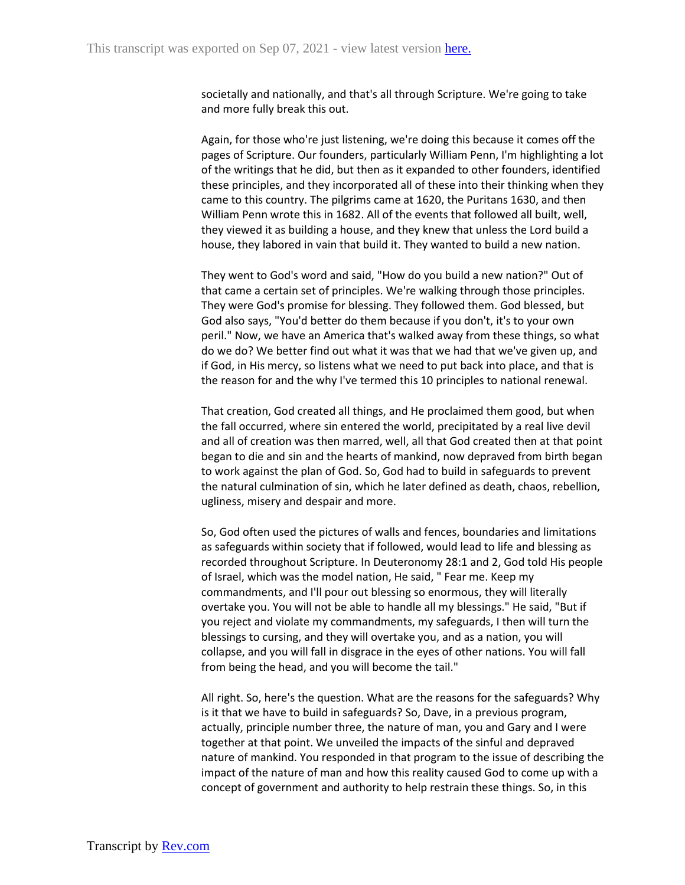societally and nationally, and that's all through Scripture. We're going to take and more fully break this out.

Again, for those who're just listening, we're doing this because it comes off the pages of Scripture. Our founders, particularly William Penn, I'm highlighting a lot of the writings that he did, but then as it expanded to other founders, identified these principles, and they incorporated all of these into their thinking when they came to this country. The pilgrims came at 1620, the Puritans 1630, and then William Penn wrote this in 1682. All of the events that followed all built, well, they viewed it as building a house, and they knew that unless the Lord build a house, they labored in vain that build it. They wanted to build a new nation.

They went to God's word and said, "How do you build a new nation?" Out of that came a certain set of principles. We're walking through those principles. They were God's promise for blessing. They followed them. God blessed, but God also says, "You'd better do them because if you don't, it's to your own peril." Now, we have an America that's walked away from these things, so what do we do? We better find out what it was that we had that we've given up, and if God, in His mercy, so listens what we need to put back into place, and that is the reason for and the why I've termed this 10 principles to national renewal.

That creation, God created all things, and He proclaimed them good, but when the fall occurred, where sin entered the world, precipitated by a real live devil and all of creation was then marred, well, all that God created then at that point began to die and sin and the hearts of mankind, now depraved from birth began to work against the plan of God. So, God had to build in safeguards to prevent the natural culmination of sin, which he later defined as death, chaos, rebellion, ugliness, misery and despair and more.

So, God often used the pictures of walls and fences, boundaries and limitations as safeguards within society that if followed, would lead to life and blessing as recorded throughout Scripture. In Deuteronomy 28:1 and 2, God told His people of Israel, which was the model nation, He said, " Fear me. Keep my commandments, and I'll pour out blessing so enormous, they will literally overtake you. You will not be able to handle all my blessings." He said, "But if you reject and violate my commandments, my safeguards, I then will turn the blessings to cursing, and they will overtake you, and as a nation, you will collapse, and you will fall in disgrace in the eyes of other nations. You will fall from being the head, and you will become the tail."

All right. So, here's the question. What are the reasons for the safeguards? Why is it that we have to build in safeguards? So, Dave, in a previous program, actually, principle number three, the nature of man, you and Gary and I were together at that point. We unveiled the impacts of the sinful and depraved nature of mankind. You responded in that program to the issue of describing the impact of the nature of man and how this reality caused God to come up with a concept of government and authority to help restrain these things. So, in this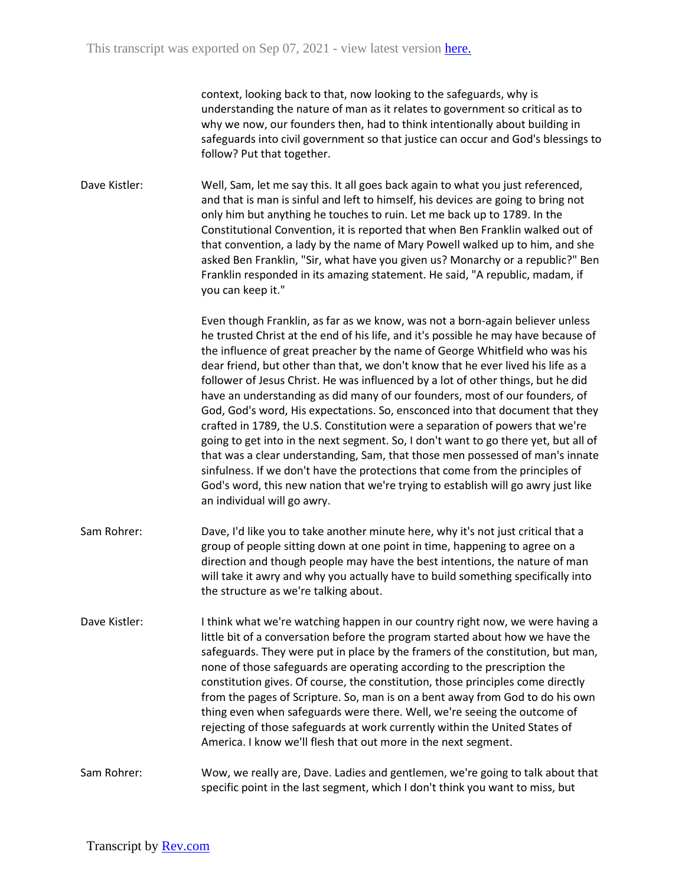context, looking back to that, now looking to the safeguards, why is understanding the nature of man as it relates to government so critical as to why we now, our founders then, had to think intentionally about building in safeguards into civil government so that justice can occur and God's blessings to follow? Put that together.

Dave Kistler: Well, Sam, let me say this. It all goes back again to what you just referenced, and that is man is sinful and left to himself, his devices are going to bring not only him but anything he touches to ruin. Let me back up to 1789. In the Constitutional Convention, it is reported that when Ben Franklin walked out of that convention, a lady by the name of Mary Powell walked up to him, and she asked Ben Franklin, "Sir, what have you given us? Monarchy or a republic?" Ben Franklin responded in its amazing statement. He said, "A republic, madam, if you can keep it."

> Even though Franklin, as far as we know, was not a born-again believer unless he trusted Christ at the end of his life, and it's possible he may have because of the influence of great preacher by the name of George Whitfield who was his dear friend, but other than that, we don't know that he ever lived his life as a follower of Jesus Christ. He was influenced by a lot of other things, but he did have an understanding as did many of our founders, most of our founders, of God, God's word, His expectations. So, ensconced into that document that they crafted in 1789, the U.S. Constitution were a separation of powers that we're going to get into in the next segment. So, I don't want to go there yet, but all of that was a clear understanding, Sam, that those men possessed of man's innate sinfulness. If we don't have the protections that come from the principles of God's word, this new nation that we're trying to establish will go awry just like an individual will go awry.

- Sam Rohrer: Dave, I'd like you to take another minute here, why it's not just critical that a group of people sitting down at one point in time, happening to agree on a direction and though people may have the best intentions, the nature of man will take it awry and why you actually have to build something specifically into the structure as we're talking about.
- Dave Kistler: I think what we're watching happen in our country right now, we were having a little bit of a conversation before the program started about how we have the safeguards. They were put in place by the framers of the constitution, but man, none of those safeguards are operating according to the prescription the constitution gives. Of course, the constitution, those principles come directly from the pages of Scripture. So, man is on a bent away from God to do his own thing even when safeguards were there. Well, we're seeing the outcome of rejecting of those safeguards at work currently within the United States of America. I know we'll flesh that out more in the next segment.

Sam Rohrer: Wow, we really are, Dave. Ladies and gentlemen, we're going to talk about that specific point in the last segment, which I don't think you want to miss, but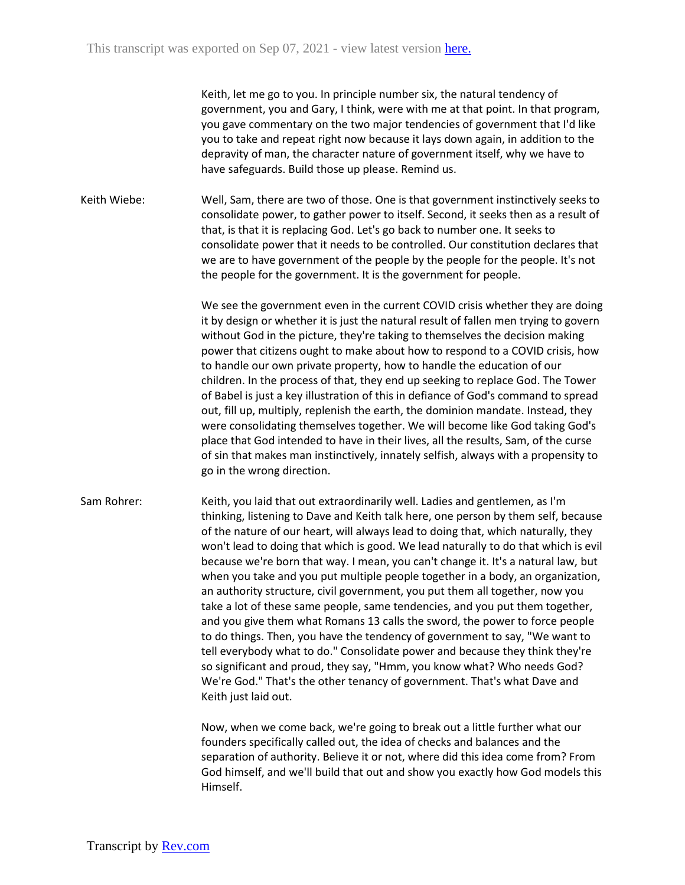Keith, let me go to you. In principle number six, the natural tendency of government, you and Gary, I think, were with me at that point. In that program, you gave commentary on the two major tendencies of government that I'd like you to take and repeat right now because it lays down again, in addition to the depravity of man, the character nature of government itself, why we have to have safeguards. Build those up please. Remind us.

Keith Wiebe: Well, Sam, there are two of those. One is that government instinctively seeks to consolidate power, to gather power to itself. Second, it seeks then as a result of that, is that it is replacing God. Let's go back to number one. It seeks to consolidate power that it needs to be controlled. Our constitution declares that we are to have government of the people by the people for the people. It's not the people for the government. It is the government for people.

> We see the government even in the current COVID crisis whether they are doing it by design or whether it is just the natural result of fallen men trying to govern without God in the picture, they're taking to themselves the decision making power that citizens ought to make about how to respond to a COVID crisis, how to handle our own private property, how to handle the education of our children. In the process of that, they end up seeking to replace God. The Tower of Babel is just a key illustration of this in defiance of God's command to spread out, fill up, multiply, replenish the earth, the dominion mandate. Instead, they were consolidating themselves together. We will become like God taking God's place that God intended to have in their lives, all the results, Sam, of the curse of sin that makes man instinctively, innately selfish, always with a propensity to go in the wrong direction.

Sam Rohrer: Keith, you laid that out extraordinarily well. Ladies and gentlemen, as I'm thinking, listening to Dave and Keith talk here, one person by them self, because of the nature of our heart, will always lead to doing that, which naturally, they won't lead to doing that which is good. We lead naturally to do that which is evil because we're born that way. I mean, you can't change it. It's a natural law, but when you take and you put multiple people together in a body, an organization, an authority structure, civil government, you put them all together, now you take a lot of these same people, same tendencies, and you put them together, and you give them what Romans 13 calls the sword, the power to force people to do things. Then, you have the tendency of government to say, "We want to tell everybody what to do." Consolidate power and because they think they're so significant and proud, they say, "Hmm, you know what? Who needs God? We're God." That's the other tenancy of government. That's what Dave and Keith just laid out.

> Now, when we come back, we're going to break out a little further what our founders specifically called out, the idea of checks and balances and the separation of authority. Believe it or not, where did this idea come from? From God himself, and we'll build that out and show you exactly how God models this Himself.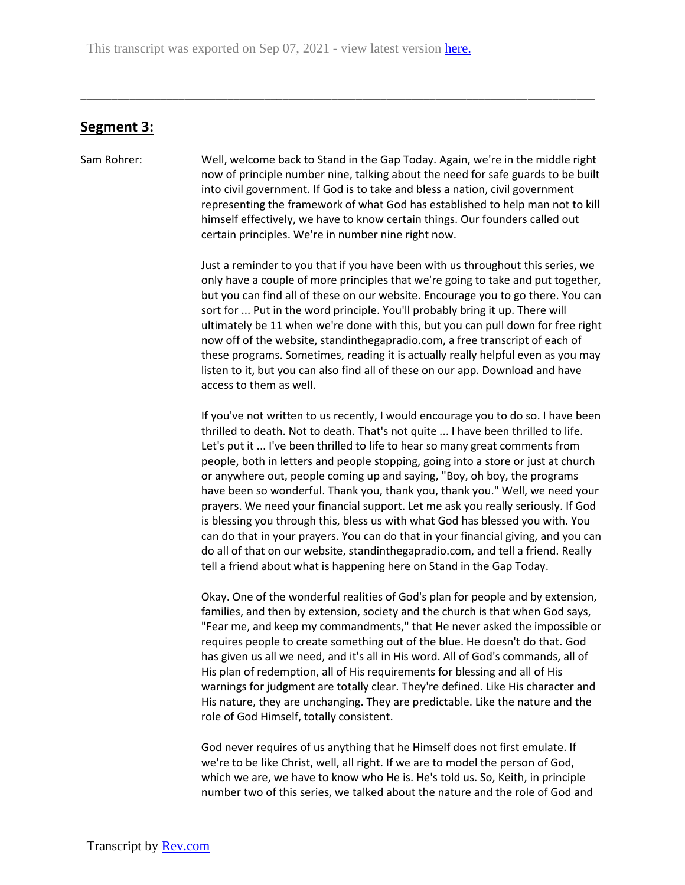## **Segment 3:**

Sam Rohrer: Well, welcome back to Stand in the Gap Today. Again, we're in the middle right now of principle number nine, talking about the need for safe guards to be built into civil government. If God is to take and bless a nation, civil government representing the framework of what God has established to help man not to kill himself effectively, we have to know certain things. Our founders called out certain principles. We're in number nine right now.

\_\_\_\_\_\_\_\_\_\_\_\_\_\_\_\_\_\_\_\_\_\_\_\_\_\_\_\_\_\_\_\_\_\_\_\_\_\_\_\_\_\_\_\_\_\_\_\_\_\_\_\_\_\_\_\_\_\_\_\_\_\_\_\_\_\_\_\_\_\_\_\_\_\_\_\_\_\_\_\_\_\_\_\_

Just a reminder to you that if you have been with us throughout this series, we only have a couple of more principles that we're going to take and put together, but you can find all of these on our website. Encourage you to go there. You can sort for ... Put in the word principle. You'll probably bring it up. There will ultimately be 11 when we're done with this, but you can pull down for free right now off of the website, standinthegapradio.com, a free transcript of each of these programs. Sometimes, reading it is actually really helpful even as you may listen to it, but you can also find all of these on our app. Download and have access to them as well.

If you've not written to us recently, I would encourage you to do so. I have been thrilled to death. Not to death. That's not quite ... I have been thrilled to life. Let's put it ... I've been thrilled to life to hear so many great comments from people, both in letters and people stopping, going into a store or just at church or anywhere out, people coming up and saying, "Boy, oh boy, the programs have been so wonderful. Thank you, thank you, thank you." Well, we need your prayers. We need your financial support. Let me ask you really seriously. If God is blessing you through this, bless us with what God has blessed you with. You can do that in your prayers. You can do that in your financial giving, and you can do all of that on our website, standinthegapradio.com, and tell a friend. Really tell a friend about what is happening here on Stand in the Gap Today.

Okay. One of the wonderful realities of God's plan for people and by extension, families, and then by extension, society and the church is that when God says, "Fear me, and keep my commandments," that He never asked the impossible or requires people to create something out of the blue. He doesn't do that. God has given us all we need, and it's all in His word. All of God's commands, all of His plan of redemption, all of His requirements for blessing and all of His warnings for judgment are totally clear. They're defined. Like His character and His nature, they are unchanging. They are predictable. Like the nature and the role of God Himself, totally consistent.

God never requires of us anything that he Himself does not first emulate. If we're to be like Christ, well, all right. If we are to model the person of God, which we are, we have to know who He is. He's told us. So, Keith, in principle number two of this series, we talked about the nature and the role of God and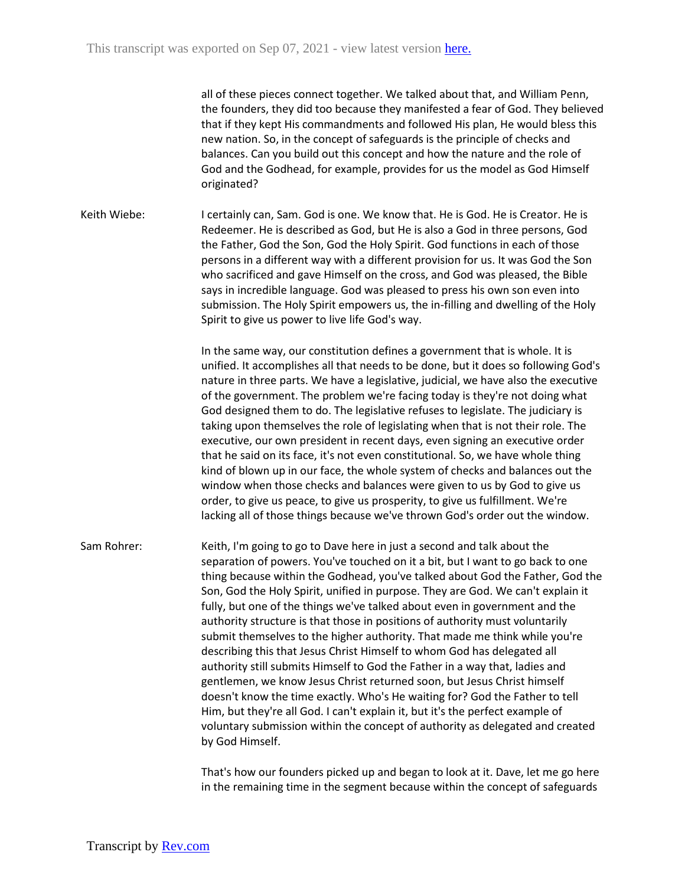all of these pieces connect together. We talked about that, and William Penn, the founders, they did too because they manifested a fear of God. They believed that if they kept His commandments and followed His plan, He would bless this new nation. So, in the concept of safeguards is the principle of checks and balances. Can you build out this concept and how the nature and the role of God and the Godhead, for example, provides for us the model as God Himself originated?

Keith Wiebe: I certainly can, Sam. God is one. We know that. He is God. He is Creator. He is Redeemer. He is described as God, but He is also a God in three persons, God the Father, God the Son, God the Holy Spirit. God functions in each of those persons in a different way with a different provision for us. It was God the Son who sacrificed and gave Himself on the cross, and God was pleased, the Bible says in incredible language. God was pleased to press his own son even into submission. The Holy Spirit empowers us, the in-filling and dwelling of the Holy Spirit to give us power to live life God's way.

> In the same way, our constitution defines a government that is whole. It is unified. It accomplishes all that needs to be done, but it does so following God's nature in three parts. We have a legislative, judicial, we have also the executive of the government. The problem we're facing today is they're not doing what God designed them to do. The legislative refuses to legislate. The judiciary is taking upon themselves the role of legislating when that is not their role. The executive, our own president in recent days, even signing an executive order that he said on its face, it's not even constitutional. So, we have whole thing kind of blown up in our face, the whole system of checks and balances out the window when those checks and balances were given to us by God to give us order, to give us peace, to give us prosperity, to give us fulfillment. We're lacking all of those things because we've thrown God's order out the window.

Sam Rohrer: Keith, I'm going to go to Dave here in just a second and talk about the separation of powers. You've touched on it a bit, but I want to go back to one thing because within the Godhead, you've talked about God the Father, God the Son, God the Holy Spirit, unified in purpose. They are God. We can't explain it fully, but one of the things we've talked about even in government and the authority structure is that those in positions of authority must voluntarily submit themselves to the higher authority. That made me think while you're describing this that Jesus Christ Himself to whom God has delegated all authority still submits Himself to God the Father in a way that, ladies and gentlemen, we know Jesus Christ returned soon, but Jesus Christ himself doesn't know the time exactly. Who's He waiting for? God the Father to tell Him, but they're all God. I can't explain it, but it's the perfect example of voluntary submission within the concept of authority as delegated and created by God Himself.

> That's how our founders picked up and began to look at it. Dave, let me go here in the remaining time in the segment because within the concept of safeguards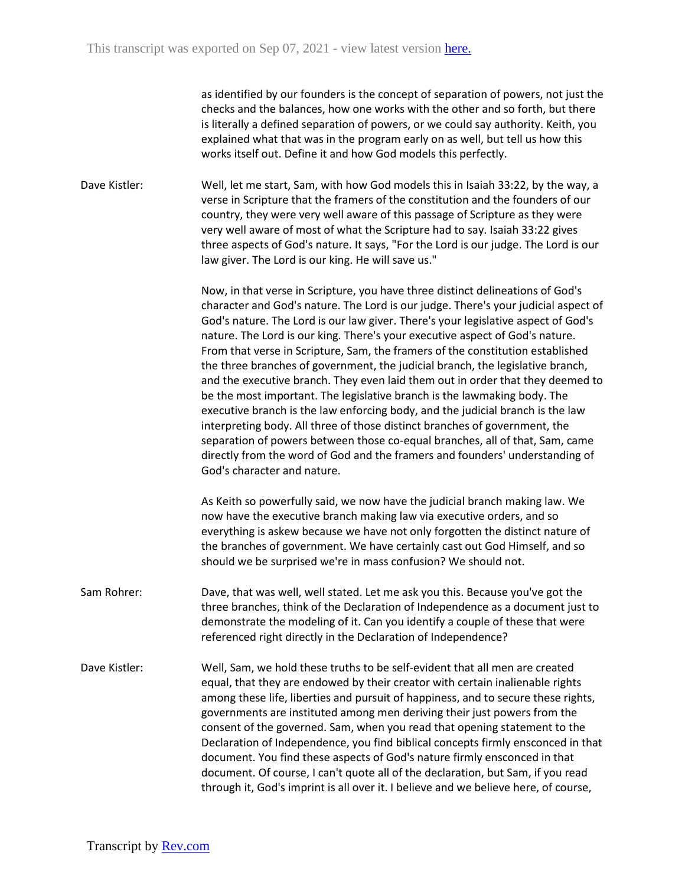as identified by our founders is the concept of separation of powers, not just the checks and the balances, how one works with the other and so forth, but there is literally a defined separation of powers, or we could say authority. Keith, you explained what that was in the program early on as well, but tell us how this works itself out. Define it and how God models this perfectly.

Dave Kistler: Well, let me start, Sam, with how God models this in Isaiah 33:22, by the way, a verse in Scripture that the framers of the constitution and the founders of our country, they were very well aware of this passage of Scripture as they were very well aware of most of what the Scripture had to say. Isaiah 33:22 gives three aspects of God's nature. It says, "For the Lord is our judge. The Lord is our law giver. The Lord is our king. He will save us."

> Now, in that verse in Scripture, you have three distinct delineations of God's character and God's nature. The Lord is our judge. There's your judicial aspect of God's nature. The Lord is our law giver. There's your legislative aspect of God's nature. The Lord is our king. There's your executive aspect of God's nature. From that verse in Scripture, Sam, the framers of the constitution established the three branches of government, the judicial branch, the legislative branch, and the executive branch. They even laid them out in order that they deemed to be the most important. The legislative branch is the lawmaking body. The executive branch is the law enforcing body, and the judicial branch is the law interpreting body. All three of those distinct branches of government, the separation of powers between those co-equal branches, all of that, Sam, came directly from the word of God and the framers and founders' understanding of God's character and nature.

As Keith so powerfully said, we now have the judicial branch making law. We now have the executive branch making law via executive orders, and so everything is askew because we have not only forgotten the distinct nature of the branches of government. We have certainly cast out God Himself, and so should we be surprised we're in mass confusion? We should not.

- Sam Rohrer: Dave, that was well, well stated. Let me ask you this. Because you've got the three branches, think of the Declaration of Independence as a document just to demonstrate the modeling of it. Can you identify a couple of these that were referenced right directly in the Declaration of Independence?
- Dave Kistler: Well, Sam, we hold these truths to be self-evident that all men are created equal, that they are endowed by their creator with certain inalienable rights among these life, liberties and pursuit of happiness, and to secure these rights, governments are instituted among men deriving their just powers from the consent of the governed. Sam, when you read that opening statement to the Declaration of Independence, you find biblical concepts firmly ensconced in that document. You find these aspects of God's nature firmly ensconced in that document. Of course, I can't quote all of the declaration, but Sam, if you read through it, God's imprint is all over it. I believe and we believe here, of course,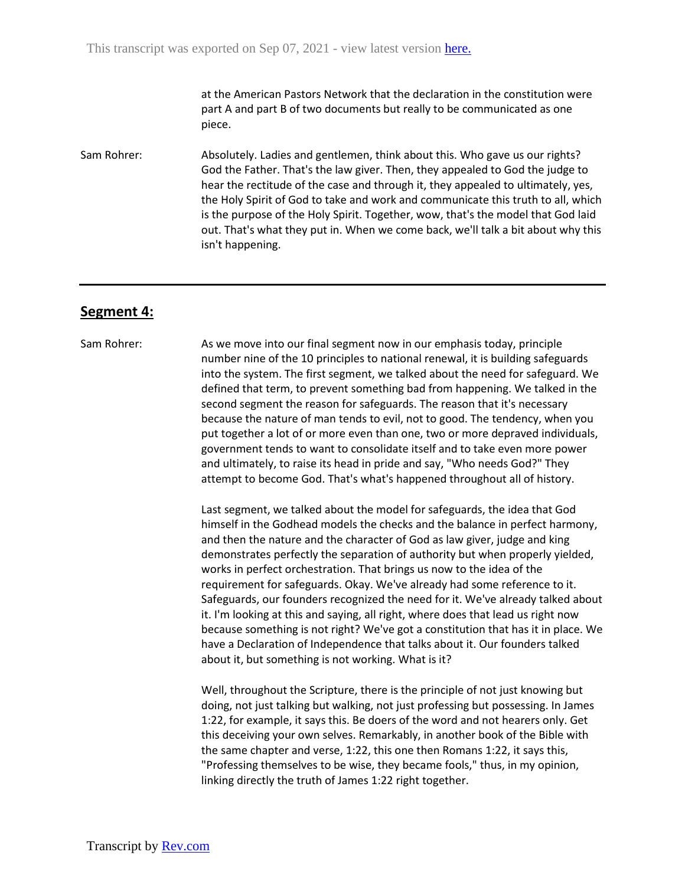at the American Pastors Network that the declaration in the constitution were part A and part B of two documents but really to be communicated as one piece.

Sam Rohrer: Absolutely. Ladies and gentlemen, think about this. Who gave us our rights? God the Father. That's the law giver. Then, they appealed to God the judge to hear the rectitude of the case and through it, they appealed to ultimately, yes, the Holy Spirit of God to take and work and communicate this truth to all, which is the purpose of the Holy Spirit. Together, wow, that's the model that God laid out. That's what they put in. When we come back, we'll talk a bit about why this isn't happening.

#### **Segment 4:**

#### Sam Rohrer: As we move into our final segment now in our emphasis today, principle number nine of the 10 principles to national renewal, it is building safeguards into the system. The first segment, we talked about the need for safeguard. We defined that term, to prevent something bad from happening. We talked in the second segment the reason for safeguards. The reason that it's necessary because the nature of man tends to evil, not to good. The tendency, when you put together a lot of or more even than one, two or more depraved individuals, government tends to want to consolidate itself and to take even more power and ultimately, to raise its head in pride and say, "Who needs God?" They attempt to become God. That's what's happened throughout all of history.

Last segment, we talked about the model for safeguards, the idea that God himself in the Godhead models the checks and the balance in perfect harmony, and then the nature and the character of God as law giver, judge and king demonstrates perfectly the separation of authority but when properly yielded, works in perfect orchestration. That brings us now to the idea of the requirement for safeguards. Okay. We've already had some reference to it. Safeguards, our founders recognized the need for it. We've already talked about it. I'm looking at this and saying, all right, where does that lead us right now because something is not right? We've got a constitution that has it in place. We have a Declaration of Independence that talks about it. Our founders talked about it, but something is not working. What is it?

Well, throughout the Scripture, there is the principle of not just knowing but doing, not just talking but walking, not just professing but possessing. In James 1:22, for example, it says this. Be doers of the word and not hearers only. Get this deceiving your own selves. Remarkably, in another book of the Bible with the same chapter and verse, 1:22, this one then Romans 1:22, it says this, "Professing themselves to be wise, they became fools," thus, in my opinion, linking directly the truth of James 1:22 right together.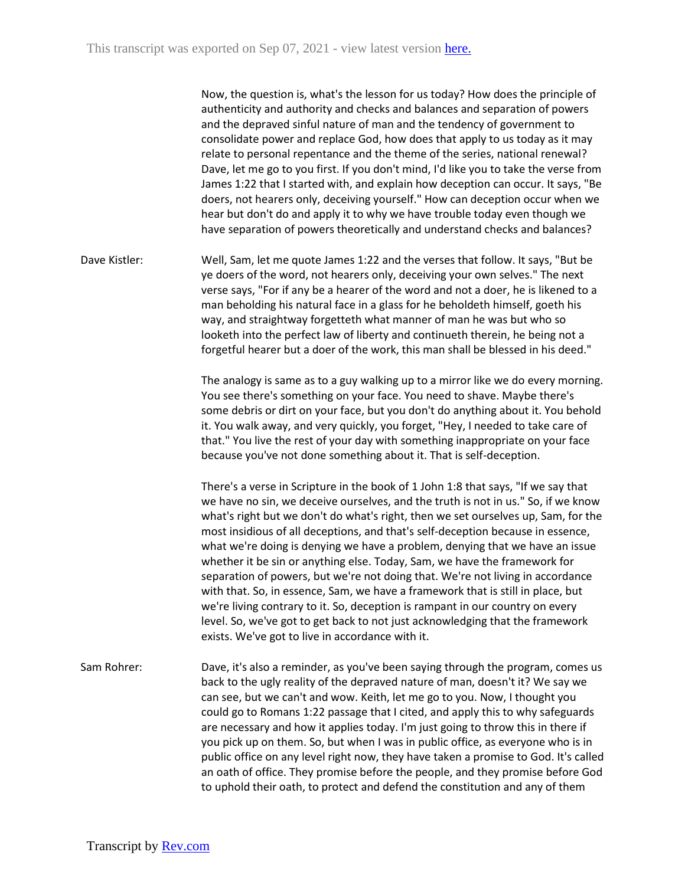Now, the question is, what's the lesson for us today? How does the principle of authenticity and authority and checks and balances and separation of powers and the depraved sinful nature of man and the tendency of government to consolidate power and replace God, how does that apply to us today as it may relate to personal repentance and the theme of the series, national renewal? Dave, let me go to you first. If you don't mind, I'd like you to take the verse from James 1:22 that I started with, and explain how deception can occur. It says, "Be doers, not hearers only, deceiving yourself." How can deception occur when we hear but don't do and apply it to why we have trouble today even though we have separation of powers theoretically and understand checks and balances?

Dave Kistler: Well, Sam, let me quote James 1:22 and the verses that follow. It says, "But be ye doers of the word, not hearers only, deceiving your own selves." The next verse says, "For if any be a hearer of the word and not a doer, he is likened to a man beholding his natural face in a glass for he beholdeth himself, goeth his way, and straightway forgetteth what manner of man he was but who so looketh into the perfect law of liberty and continueth therein, he being not a forgetful hearer but a doer of the work, this man shall be blessed in his deed."

> The analogy is same as to a guy walking up to a mirror like we do every morning. You see there's something on your face. You need to shave. Maybe there's some debris or dirt on your face, but you don't do anything about it. You behold it. You walk away, and very quickly, you forget, "Hey, I needed to take care of that." You live the rest of your day with something inappropriate on your face because you've not done something about it. That is self-deception.

> There's a verse in Scripture in the book of 1 John 1:8 that says, "If we say that we have no sin, we deceive ourselves, and the truth is not in us." So, if we know what's right but we don't do what's right, then we set ourselves up, Sam, for the most insidious of all deceptions, and that's self-deception because in essence, what we're doing is denying we have a problem, denying that we have an issue whether it be sin or anything else. Today, Sam, we have the framework for separation of powers, but we're not doing that. We're not living in accordance with that. So, in essence, Sam, we have a framework that is still in place, but we're living contrary to it. So, deception is rampant in our country on every level. So, we've got to get back to not just acknowledging that the framework exists. We've got to live in accordance with it.

Sam Rohrer: Dave, it's also a reminder, as you've been saying through the program, comes us back to the ugly reality of the depraved nature of man, doesn't it? We say we can see, but we can't and wow. Keith, let me go to you. Now, I thought you could go to Romans 1:22 passage that I cited, and apply this to why safeguards are necessary and how it applies today. I'm just going to throw this in there if you pick up on them. So, but when I was in public office, as everyone who is in public office on any level right now, they have taken a promise to God. It's called an oath of office. They promise before the people, and they promise before God to uphold their oath, to protect and defend the constitution and any of them